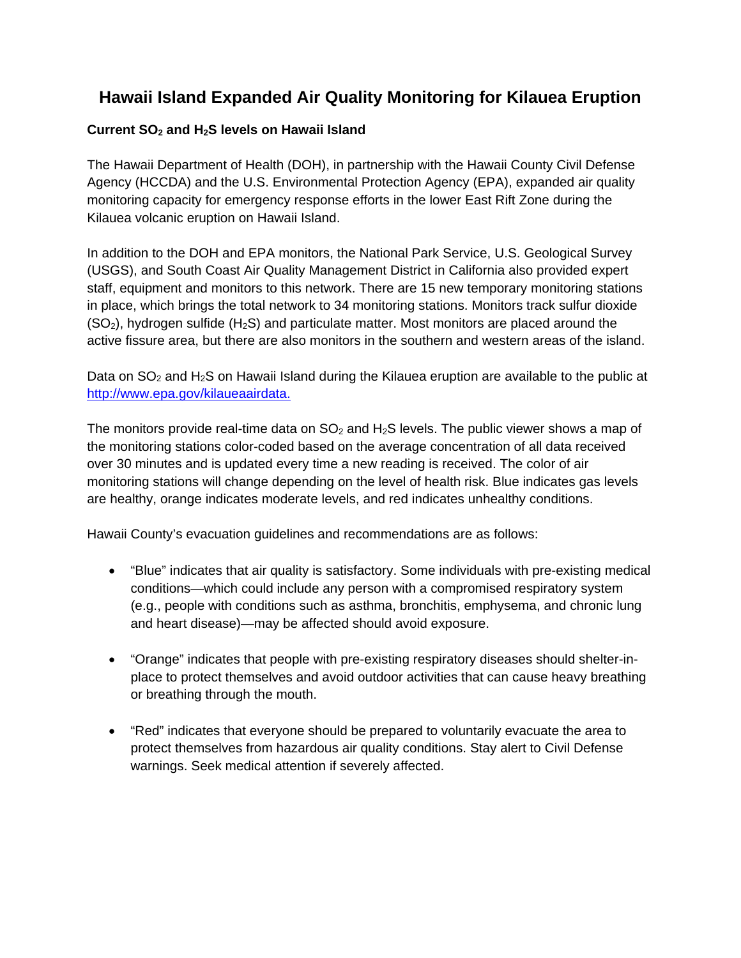## **Hawaii Island Expanded Air Quality Monitoring for Kilauea Eruption**

## **Current SO2 and H2S levels on Hawaii Island**

The Hawaii Department of Health (DOH), in partnership with the Hawaii County Civil Defense Agency (HCCDA) and the U.S. Environmental Protection Agency (EPA), expanded air quality monitoring capacity for emergency response efforts in the lower East Rift Zone during the Kilauea volcanic eruption on Hawaii Island.

In addition to the DOH and EPA monitors, the National Park Service, U.S. Geological Survey (USGS), and South Coast Air Quality Management District in California also provided expert staff, equipment and monitors to this network. There are 15 new temporary monitoring stations in place, which brings the total network to 34 monitoring stations. Monitors track sulfur dioxide  $(SO<sub>2</sub>)$ , hydrogen sulfide  $(H<sub>2</sub>S)$  and particulate matter. Most monitors are placed around the active fissure area, but there are also monitors in the southern and western areas of the island.

Data on  $SO_2$  and H<sub>2</sub>S on Hawaii Island during the Kilauea eruption are available to the public at http://www.epa.gov/kilaueaairdata.

The monitors provide real-time data on  $SO<sub>2</sub>$  and  $H<sub>2</sub>S$  levels. The public viewer shows a map of the monitoring stations color-coded based on the average concentration of all data received over 30 minutes and is updated every time a new reading is received. The color of air monitoring stations will change depending on the level of health risk. Blue indicates gas levels are healthy, orange indicates moderate levels, and red indicates unhealthy conditions.

Hawaii County's evacuation guidelines and recommendations are as follows:

- "Blue" indicates that air quality is satisfactory. Some individuals with pre-existing medical conditions—which could include any person with a compromised respiratory system (e.g., people with conditions such as asthma, bronchitis, emphysema, and chronic lung and heart disease)—may be affected should avoid exposure.
- "Orange" indicates that people with pre-existing respiratory diseases should shelter-inplace to protect themselves and avoid outdoor activities that can cause heavy breathing or breathing through the mouth.
- "Red" indicates that everyone should be prepared to voluntarily evacuate the area to protect themselves from hazardous air quality conditions. Stay alert to Civil Defense warnings. Seek medical attention if severely affected.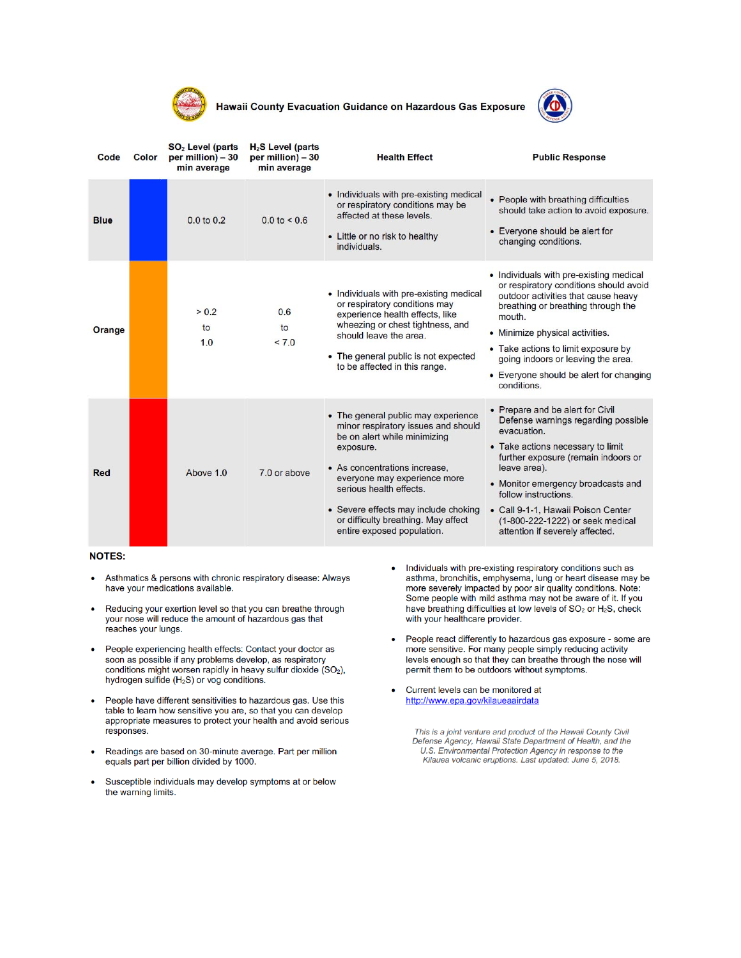

Hawaii County Evacuation Guidance on Hazardous Gas Exposure



| Code        | Color | SO <sub>2</sub> Level (parts<br>per million) - 30<br>min average | H <sub>2</sub> S Level (parts<br>per million) - 30<br>min average | <b>Health Effect</b>                                                                                                                                                                                                                                                                                                             | <b>Public Response</b>                                                                                                                                                                                                                                                                                                                                        |
|-------------|-------|------------------------------------------------------------------|-------------------------------------------------------------------|----------------------------------------------------------------------------------------------------------------------------------------------------------------------------------------------------------------------------------------------------------------------------------------------------------------------------------|---------------------------------------------------------------------------------------------------------------------------------------------------------------------------------------------------------------------------------------------------------------------------------------------------------------------------------------------------------------|
| <b>Blue</b> |       | $0.0 \text{ to } 0.2$                                            | $0.0 \text{ to } 5.6$                                             | • Individuals with pre-existing medical<br>or respiratory conditions may be<br>affected at these levels.<br>• Little or no risk to healthy<br>individuals.                                                                                                                                                                       | • People with breathing difficulties<br>should take action to avoid exposure.<br>• Everyone should be alert for<br>changing conditions.                                                                                                                                                                                                                       |
| Orange      |       | > 0.2<br>to<br>1.0                                               | 0.6<br>to<br>< 7.0                                                | • Individuals with pre-existing medical<br>or respiratory conditions may<br>experience health effects, like<br>wheezing or chest tightness, and<br>should leave the area.<br>• The general public is not expected<br>to be affected in this range.                                                                               | • Individuals with pre-existing medical<br>or respiratory conditions should avoid<br>outdoor activities that cause heavy<br>breathing or breathing through the<br>mouth.<br>• Minimize physical activities.<br>• Take actions to limit exposure by<br>going indoors or leaving the area.<br>• Everyone should be alert for changing<br>conditions.            |
| Red         |       | Above 1.0                                                        | 7.0 or above                                                      | • The general public may experience<br>minor respiratory issues and should<br>be on alert while minimizing<br>exposure.<br>• As concentrations increase.<br>everyone may experience more<br>serious health effects.<br>• Severe effects may include choking<br>or difficulty breathing. May affect<br>entire exposed population. | • Prepare and be alert for Civil<br>Defense warnings regarding possible<br>evacuation.<br>• Take actions necessary to limit<br>further exposure (remain indoors or<br>leave area).<br>• Monitor emergency broadcasts and<br>follow instructions.<br>• Call 9-1-1, Hawaii Poison Center<br>(1-800-222-1222) or seek medical<br>attention if severely affected. |

## **NOTES:**

- Asthmatics & persons with chronic respiratory disease: Always have your medications available.
- Reducing your exertion level so that you can breathe through  $\bullet$ your nose will reduce the amount of hazardous gas that reaches your lungs.
- People experiencing health effects: Contact your doctor as soon as possible if any problems develop, as respiratory conditions might worsen rapidly in heavy sulfur dioxide (SO<sub>2</sub>), hydrogen sulfide (H<sub>2</sub>S) or vog conditions.
- People have different sensitivities to hazardous gas. Use this table to learn how sensitive you are, so that you can develop appropriate measures to protect your health and avoid serious responses.
- Readings are based on 30-minute average. Part per million equals part per billion divided by 1000.
- Susceptible individuals may develop symptoms at or below the warning limits.
- Individuals with pre-existing respiratory conditions such as  $\bullet$ asthma, bronchitis, emphysema, lung or heart disease may be more severely impacted by poor air quality conditions. Note: Some people with mild asthma may not be aware of it. If you have breathing difficulties at low levels of SO<sub>2</sub> or H<sub>2</sub>S, check with your healthcare provider.
- People react differently to hazardous gas exposure some are more sensitive. For many people simply reducing activity levels enough so that they can breathe through the nose will permit them to be outdoors without symptoms.
- Current levels can be monitored at http://www.epa.gov/kilaueaairdata

This is a joint venture and product of the Hawaii County Civil Defense Agency, Hawaii State Department of Health, and the U.S. Environmental Protection Agency in response to the Kilauea volcanic eruptions. Last updated: June 5, 2018.